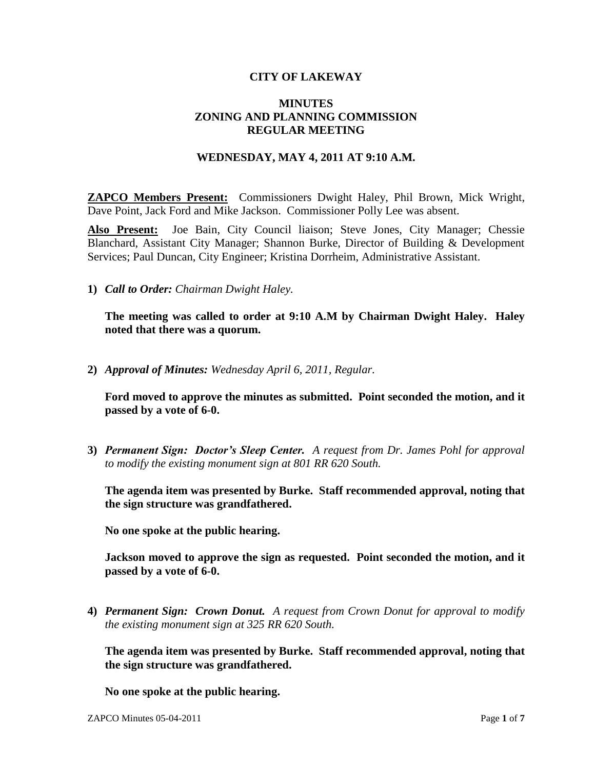## **CITY OF LAKEWAY**

## **MINUTES ZONING AND PLANNING COMMISSION REGULAR MEETING**

## **WEDNESDAY, MAY 4, 2011 AT 9:10 A.M.**

**ZAPCO Members Present:** Commissioners Dwight Haley, Phil Brown, Mick Wright, Dave Point, Jack Ford and Mike Jackson. Commissioner Polly Lee was absent.

**Also Present:** Joe Bain, City Council liaison; Steve Jones, City Manager; Chessie Blanchard, Assistant City Manager; Shannon Burke, Director of Building & Development Services; Paul Duncan, City Engineer; Kristina Dorrheim, Administrative Assistant.

**1)** *Call to Order: Chairman Dwight Haley.*

**The meeting was called to order at 9:10 A.M by Chairman Dwight Haley. Haley noted that there was a quorum.**

**2)** *Approval of Minutes: Wednesday April 6, 2011, Regular.*

**Ford moved to approve the minutes as submitted. Point seconded the motion, and it passed by a vote of 6-0.**

**3)** *Permanent Sign: Doctor's Sleep Center. A request from Dr. James Pohl for approval to modify the existing monument sign at 801 RR 620 South.*

**The agenda item was presented by Burke. Staff recommended approval, noting that the sign structure was grandfathered.**

**No one spoke at the public hearing.**

**Jackson moved to approve the sign as requested. Point seconded the motion, and it passed by a vote of 6-0.**

**4)** *Permanent Sign: Crown Donut. A request from Crown Donut for approval to modify the existing monument sign at 325 RR 620 South.*

**The agenda item was presented by Burke. Staff recommended approval, noting that the sign structure was grandfathered.**

**No one spoke at the public hearing.**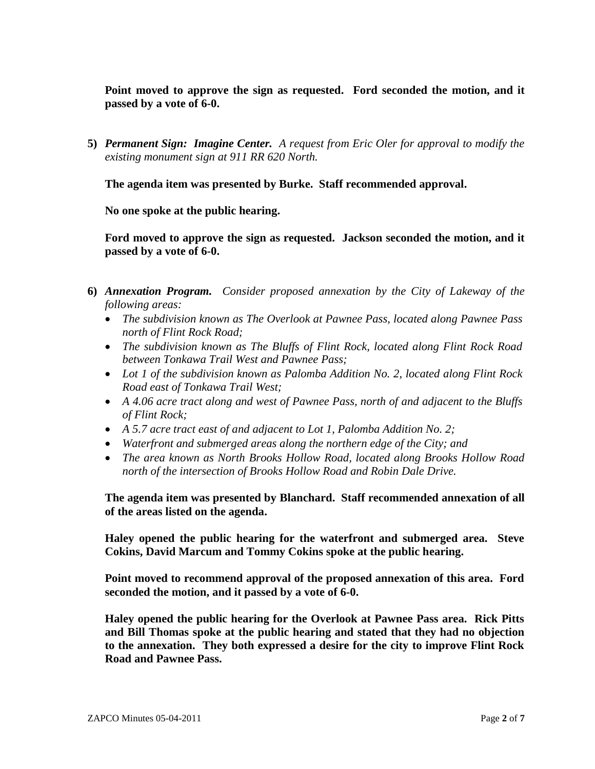**Point moved to approve the sign as requested. Ford seconded the motion, and it passed by a vote of 6-0.**

**5)** *Permanent Sign: Imagine Center. A request from Eric Oler for approval to modify the existing monument sign at 911 RR 620 North.*

**The agenda item was presented by Burke. Staff recommended approval.**

**No one spoke at the public hearing.**

**Ford moved to approve the sign as requested. Jackson seconded the motion, and it passed by a vote of 6-0.**

- **6)** *Annexation Program. Consider proposed annexation by the City of Lakeway of the following areas:*
	- *The subdivision known as The Overlook at Pawnee Pass, located along Pawnee Pass north of Flint Rock Road;*
	- *The subdivision known as The Bluffs of Flint Rock, located along Flint Rock Road between Tonkawa Trail West and Pawnee Pass;*
	- *Lot 1 of the subdivision known as Palomba Addition No. 2, located along Flint Rock Road east of Tonkawa Trail West;*
	- *A 4.06 acre tract along and west of Pawnee Pass, north of and adjacent to the Bluffs of Flint Rock;*
	- *A 5.7 acre tract east of and adjacent to Lot 1, Palomba Addition No. 2;*
	- *Waterfront and submerged areas along the northern edge of the City; and*
	- *The area known as North Brooks Hollow Road, located along Brooks Hollow Road north of the intersection of Brooks Hollow Road and Robin Dale Drive.*

**The agenda item was presented by Blanchard. Staff recommended annexation of all of the areas listed on the agenda.**

**Haley opened the public hearing for the waterfront and submerged area. Steve Cokins, David Marcum and Tommy Cokins spoke at the public hearing.**

**Point moved to recommend approval of the proposed annexation of this area. Ford seconded the motion, and it passed by a vote of 6-0.**

**Haley opened the public hearing for the Overlook at Pawnee Pass area. Rick Pitts and Bill Thomas spoke at the public hearing and stated that they had no objection to the annexation. They both expressed a desire for the city to improve Flint Rock Road and Pawnee Pass.**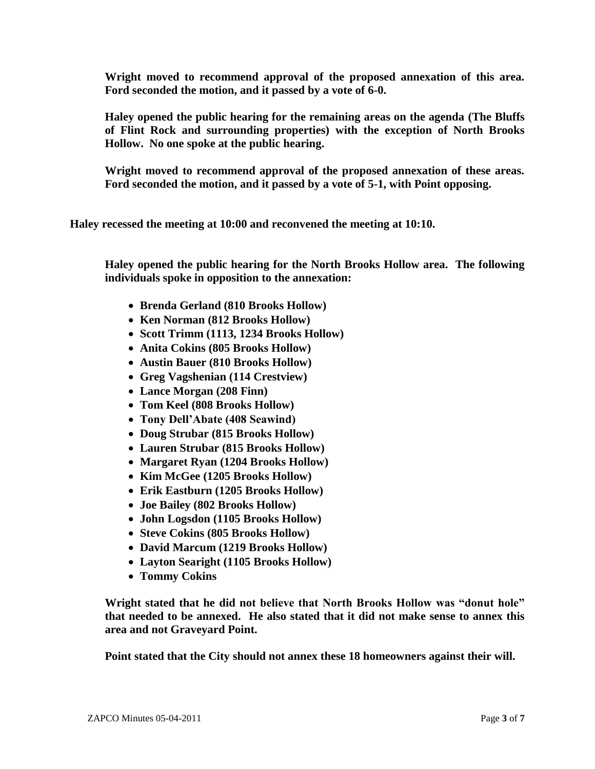**Wright moved to recommend approval of the proposed annexation of this area. Ford seconded the motion, and it passed by a vote of 6-0.**

**Haley opened the public hearing for the remaining areas on the agenda (The Bluffs of Flint Rock and surrounding properties) with the exception of North Brooks Hollow. No one spoke at the public hearing.**

**Wright moved to recommend approval of the proposed annexation of these areas. Ford seconded the motion, and it passed by a vote of 5-1, with Point opposing.**

**Haley recessed the meeting at 10:00 and reconvened the meeting at 10:10.** 

**Haley opened the public hearing for the North Brooks Hollow area. The following individuals spoke in opposition to the annexation:**

- **Brenda Gerland (810 Brooks Hollow)**
- **Ken Norman (812 Brooks Hollow)**
- **Scott Trimm (1113, 1234 Brooks Hollow)**
- **Anita Cokins (805 Brooks Hollow)**
- **Austin Bauer (810 Brooks Hollow)**
- **Greg Vagshenian (114 Crestview)**
- **Lance Morgan (208 Finn)**
- **Tom Keel (808 Brooks Hollow)**
- **Tony Dell'Abate (408 Seawind)**
- **Doug Strubar (815 Brooks Hollow)**
- **Lauren Strubar (815 Brooks Hollow)**
- **Margaret Ryan (1204 Brooks Hollow)**
- **Kim McGee (1205 Brooks Hollow)**
- **Erik Eastburn (1205 Brooks Hollow)**
- **Joe Bailey (802 Brooks Hollow)**
- **John Logsdon (1105 Brooks Hollow)**
- **Steve Cokins (805 Brooks Hollow)**
- **David Marcum (1219 Brooks Hollow)**
- **Layton Searight (1105 Brooks Hollow)**
- **Tommy Cokins**

**Wright stated that he did not believe that North Brooks Hollow was "donut hole" that needed to be annexed. He also stated that it did not make sense to annex this area and not Graveyard Point.**

**Point stated that the City should not annex these 18 homeowners against their will.**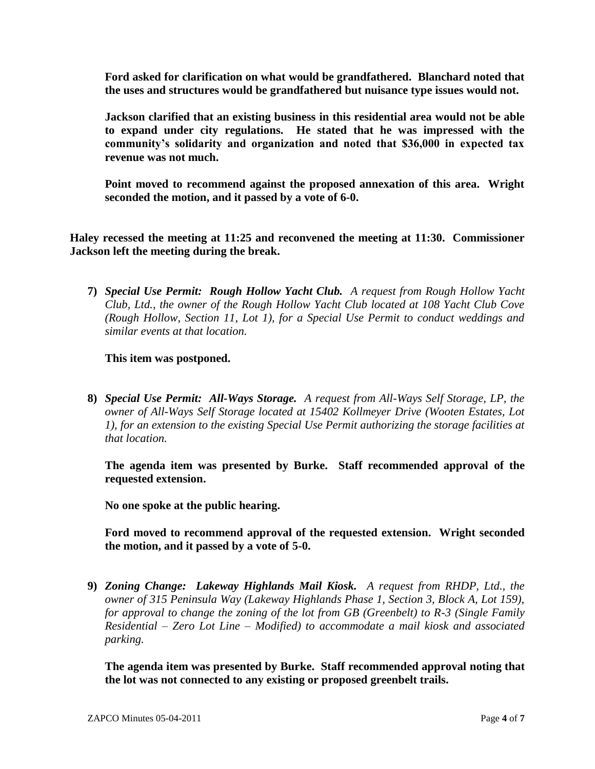**Ford asked for clarification on what would be grandfathered. Blanchard noted that the uses and structures would be grandfathered but nuisance type issues would not.**

**Jackson clarified that an existing business in this residential area would not be able to expand under city regulations. He stated that he was impressed with the community's solidarity and organization and noted that \$36,000 in expected tax revenue was not much.**

**Point moved to recommend against the proposed annexation of this area. Wright seconded the motion, and it passed by a vote of 6-0.**

**Haley recessed the meeting at 11:25 and reconvened the meeting at 11:30. Commissioner Jackson left the meeting during the break.**

**7)** *Special Use Permit: Rough Hollow Yacht Club. A request from Rough Hollow Yacht Club, Ltd., the owner of the Rough Hollow Yacht Club located at 108 Yacht Club Cove (Rough Hollow, Section 11, Lot 1), for a Special Use Permit to conduct weddings and similar events at that location.*

**This item was postponed.**

**8)** *Special Use Permit: All-Ways Storage. A request from All-Ways Self Storage, LP, the owner of All-Ways Self Storage located at 15402 Kollmeyer Drive (Wooten Estates, Lot 1), for an extension to the existing Special Use Permit authorizing the storage facilities at that location.*

**The agenda item was presented by Burke. Staff recommended approval of the requested extension.**

**No one spoke at the public hearing.**

**Ford moved to recommend approval of the requested extension. Wright seconded the motion, and it passed by a vote of 5-0.**

**9)** *Zoning Change: Lakeway Highlands Mail Kiosk. A request from RHDP, Ltd., the owner of 315 Peninsula Way (Lakeway Highlands Phase 1, Section 3, Block A, Lot 159), for approval to change the zoning of the lot from GB (Greenbelt) to R-3 (Single Family Residential – Zero Lot Line – Modified) to accommodate a mail kiosk and associated parking.*

**The agenda item was presented by Burke. Staff recommended approval noting that the lot was not connected to any existing or proposed greenbelt trails.**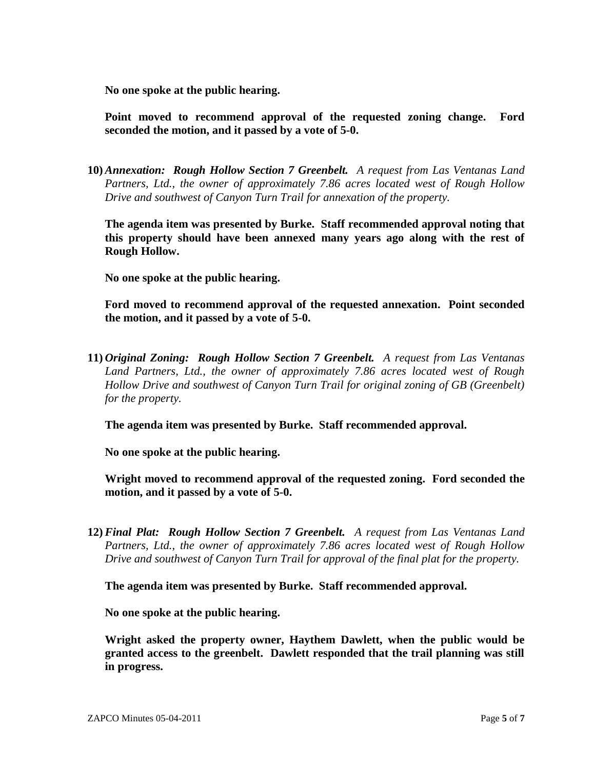**No one spoke at the public hearing.**

**Point moved to recommend approval of the requested zoning change. Ford seconded the motion, and it passed by a vote of 5-0.**

**10)***Annexation: Rough Hollow Section 7 Greenbelt. A request from Las Ventanas Land Partners, Ltd., the owner of approximately 7.86 acres located west of Rough Hollow Drive and southwest of Canyon Turn Trail for annexation of the property.*

**The agenda item was presented by Burke. Staff recommended approval noting that this property should have been annexed many years ago along with the rest of Rough Hollow.**

**No one spoke at the public hearing.**

**Ford moved to recommend approval of the requested annexation. Point seconded the motion, and it passed by a vote of 5-0.**

**11)** *Original Zoning: Rough Hollow Section 7 Greenbelt. A request from Las Ventanas Land Partners, Ltd., the owner of approximately 7.86 acres located west of Rough Hollow Drive and southwest of Canyon Turn Trail for original zoning of GB (Greenbelt) for the property.*

**The agenda item was presented by Burke. Staff recommended approval.**

**No one spoke at the public hearing.**

**Wright moved to recommend approval of the requested zoning. Ford seconded the motion, and it passed by a vote of 5-0.**

**12)***Final Plat: Rough Hollow Section 7 Greenbelt. A request from Las Ventanas Land Partners, Ltd., the owner of approximately 7.86 acres located west of Rough Hollow Drive and southwest of Canyon Turn Trail for approval of the final plat for the property.*

**The agenda item was presented by Burke. Staff recommended approval.**

**No one spoke at the public hearing.**

**Wright asked the property owner, Haythem Dawlett, when the public would be granted access to the greenbelt. Dawlett responded that the trail planning was still in progress.**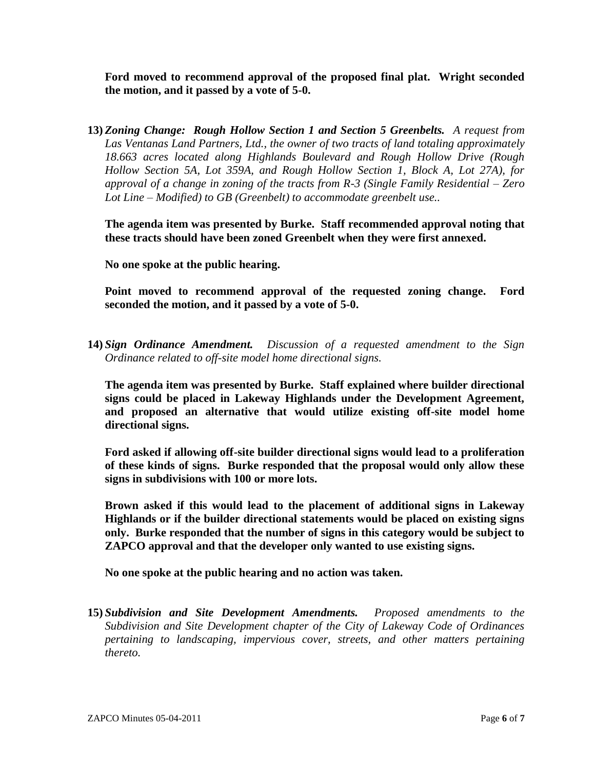**Ford moved to recommend approval of the proposed final plat. Wright seconded the motion, and it passed by a vote of 5-0.**

**13)** *Zoning Change: Rough Hollow Section 1 and Section 5 Greenbelts. A request from Las Ventanas Land Partners, Ltd., the owner of two tracts of land totaling approximately 18.663 acres located along Highlands Boulevard and Rough Hollow Drive (Rough Hollow Section 5A, Lot 359A, and Rough Hollow Section 1, Block A, Lot 27A), for approval of a change in zoning of the tracts from R-3 (Single Family Residential – Zero Lot Line – Modified) to GB (Greenbelt) to accommodate greenbelt use..*

**The agenda item was presented by Burke. Staff recommended approval noting that these tracts should have been zoned Greenbelt when they were first annexed.**

**No one spoke at the public hearing.**

**Point moved to recommend approval of the requested zoning change. Ford seconded the motion, and it passed by a vote of 5-0.**

**14)** *Sign Ordinance Amendment. Discussion of a requested amendment to the Sign Ordinance related to off-site model home directional signs.*

**The agenda item was presented by Burke. Staff explained where builder directional signs could be placed in Lakeway Highlands under the Development Agreement, and proposed an alternative that would utilize existing off-site model home directional signs.**

**Ford asked if allowing off-site builder directional signs would lead to a proliferation of these kinds of signs. Burke responded that the proposal would only allow these signs in subdivisions with 100 or more lots.**

**Brown asked if this would lead to the placement of additional signs in Lakeway Highlands or if the builder directional statements would be placed on existing signs only. Burke responded that the number of signs in this category would be subject to ZAPCO approval and that the developer only wanted to use existing signs.**

**No one spoke at the public hearing and no action was taken.**

**15)** *Subdivision and Site Development Amendments. Proposed amendments to the Subdivision and Site Development chapter of the City of Lakeway Code of Ordinances pertaining to landscaping, impervious cover, streets, and other matters pertaining thereto.*